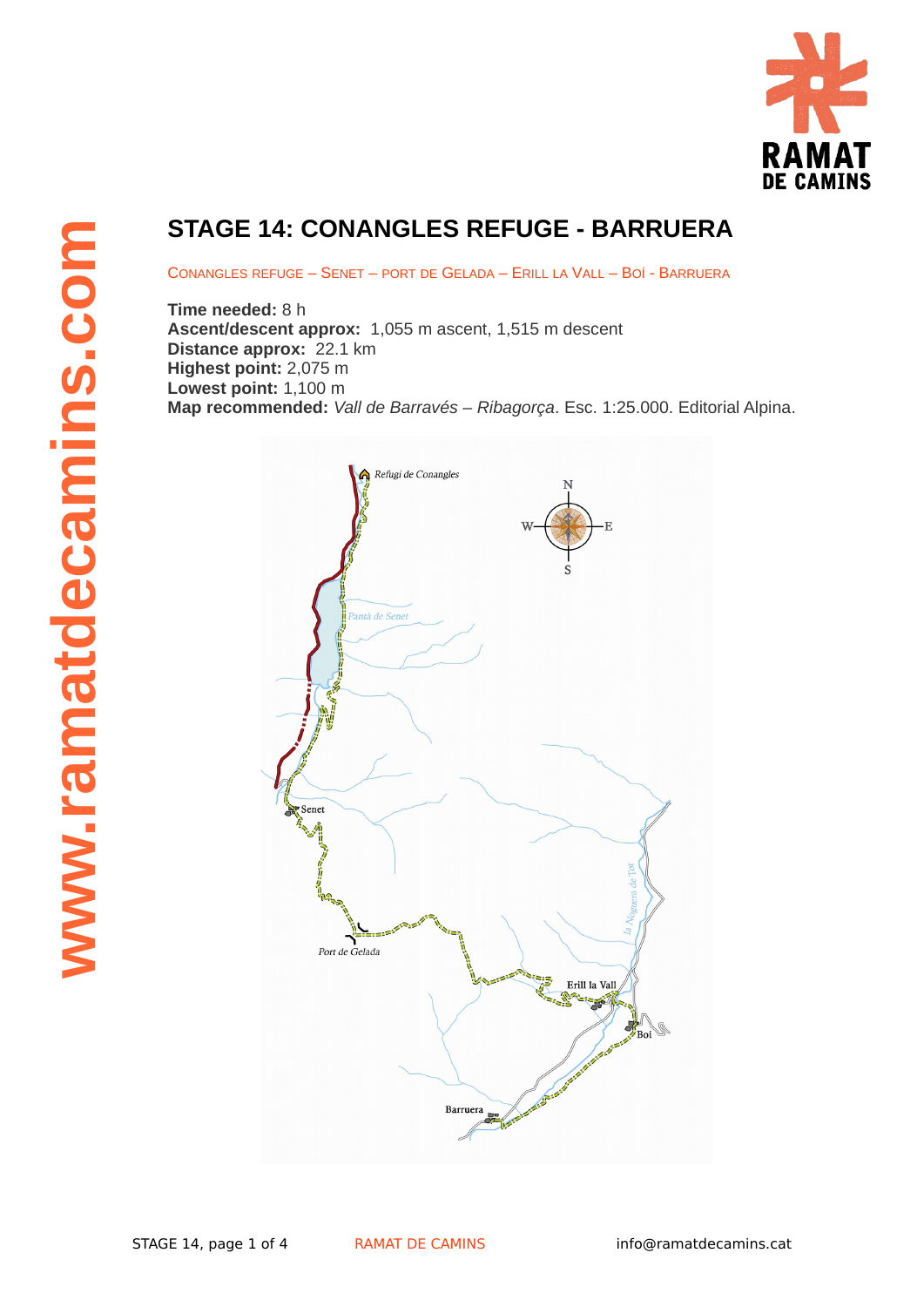

## **STAGE 14: CONANGLES REFUGE - BARRUERA**

CONANGLES REFUGE – SENET – PORT DE GELADA – ERILL LA VALL – BOÍ - BARRUERA

**Time needed:** 8 h **Ascent/descent approx:** 1,055 m ascent, 1,515 m descent **Distance approx:** 22.1 km **Highest point:** 2,075 m **Lowest point:** 1,100 m

**Map recommended:** *Vall de Barravés – Ribagorça*. Esc. 1:25.000. Editorial Alpina.

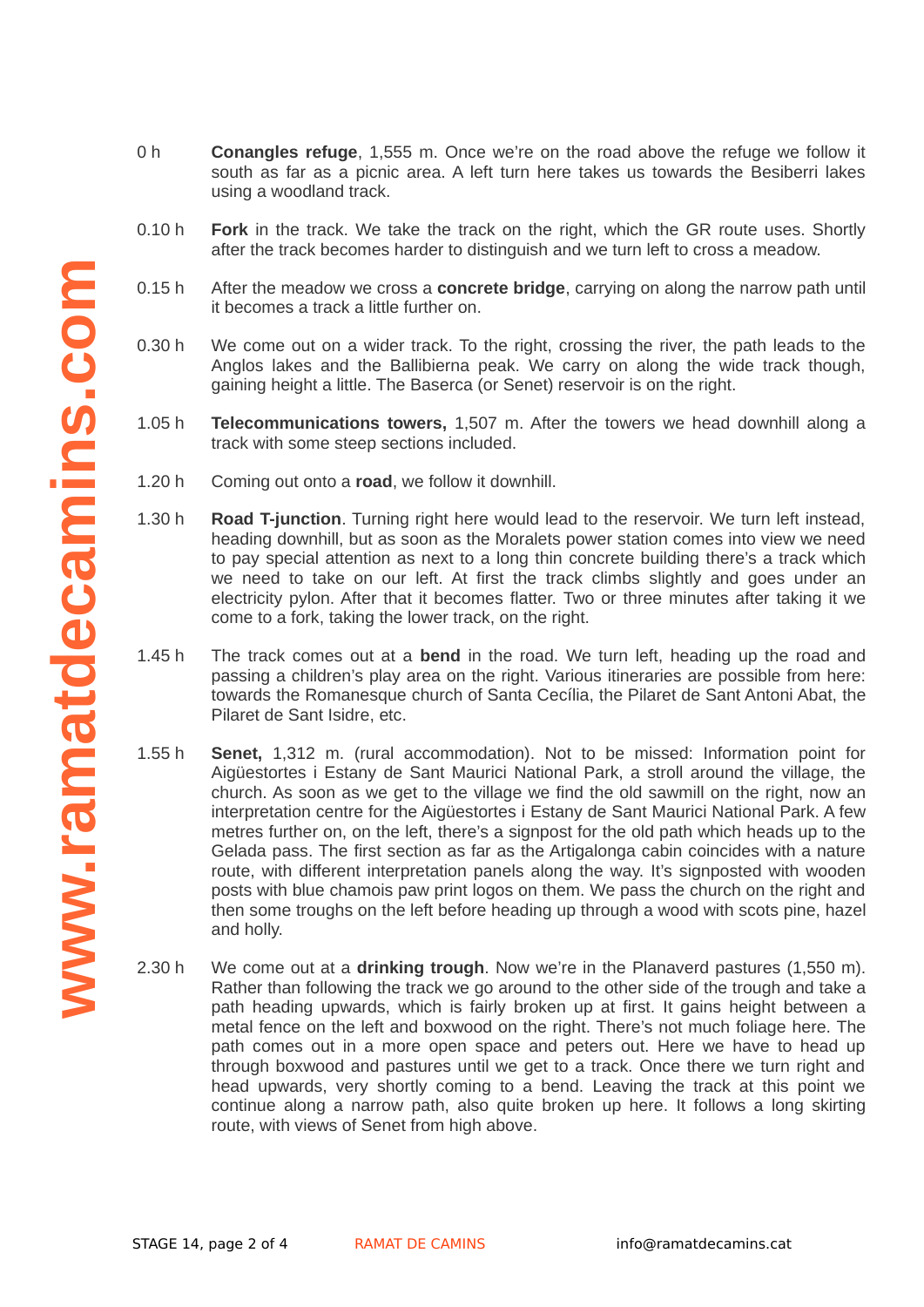- 0 h **Conangles refuge**, 1,555 m. Once we're on the road above the refuge we follow it south as far as a picnic area. A left turn here takes us towards the Besiberri lakes using a woodland track.
- 0.10 h **Fork** in the track. We take the track on the right, which the GR route uses. Shortly after the track becomes harder to distinguish and we turn left to cross a meadow.
- 0.15 h After the meadow we cross a **concrete bridge**, carrying on along the narrow path until it becomes a track a little further on.
- 0.30 h We come out on a wider track. To the right, crossing the river, the path leads to the Anglos lakes and the Ballibierna peak. We carry on along the wide track though, gaining height a little. The Baserca (or Senet) reservoir is on the right.
- 1.05 h **Telecommunications towers,** 1,507 m. After the towers we head downhill along a track with some steep sections included.
- 1.20 h Coming out onto a **road**, we follow it downhill.
- 1.30 h **Road T-junction**. Turning right here would lead to the reservoir. We turn left instead, heading downhill, but as soon as the Moralets power station comes into view we need to pay special attention as next to a long thin concrete building there's a track which we need to take on our left. At first the track climbs slightly and goes under an electricity pylon. After that it becomes flatter. Two or three minutes after taking it we come to a fork, taking the lower track, on the right.
- 1.45 h The track comes out at a **bend** in the road. We turn left, heading up the road and passing a children's play area on the right. Various itineraries are possible from here: towards the Romanesque church of Santa Cecília, the Pilaret de Sant Antoni Abat, the Pilaret de Sant Isidre, etc.
- 1.55 h **Senet,** 1,312 m. (rural accommodation). Not to be missed: Information point for Aigüestortes i Estany de Sant Maurici National Park, a stroll around the village, the church. As soon as we get to the village we find the old sawmill on the right, now an interpretation centre for the Aigüestortes i Estany de Sant Maurici National Park. A few metres further on, on the left, there's a signpost for the old path which heads up to the Gelada pass. The first section as far as the Artigalonga cabin coincides with a nature route, with different interpretation panels along the way. It's signposted with wooden posts with blue chamois paw print logos on them. We pass the church on the right and then some troughs on the left before heading up through a wood with scots pine, hazel and holly.
- 2.30 h We come out at a **drinking trough**. Now we're in the Planaverd pastures (1,550 m). Rather than following the track we go around to the other side of the trough and take a path heading upwards, which is fairly broken up at first. It gains height between a metal fence on the left and boxwood on the right. There's not much foliage here. The path comes out in a more open space and peters out. Here we have to head up through boxwood and pastures until we get to a track. Once there we turn right and head upwards, very shortly coming to a bend. Leaving the track at this point we continue along a narrow path, also quite broken up here. It follows a long skirting route, with views of Senet from high above.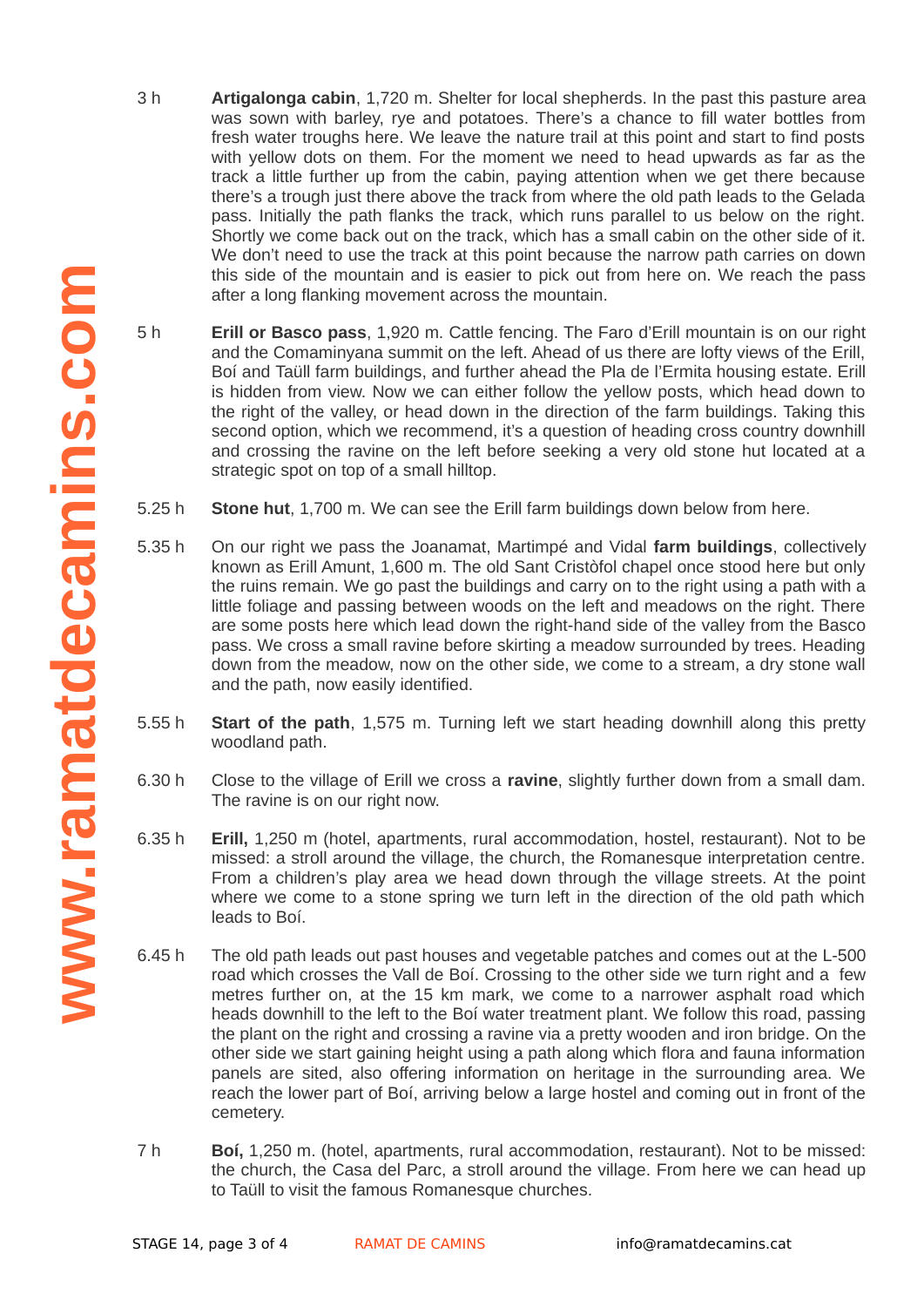- 3 h **Artigalonga cabin**, 1,720 m. Shelter for local shepherds. In the past this pasture area was sown with barley, rye and potatoes. There's a chance to fill water bottles from fresh water troughs here. We leave the nature trail at this point and start to find posts with yellow dots on them. For the moment we need to head upwards as far as the track a little further up from the cabin, paying attention when we get there because there's a trough just there above the track from where the old path leads to the Gelada pass. Initially the path flanks the track, which runs parallel to us below on the right. Shortly we come back out on the track, which has a small cabin on the other side of it. We don't need to use the track at this point because the narrow path carries on down this side of the mountain and is easier to pick out from here on. We reach the pass after a long flanking movement across the mountain.
- 5 h **Erill or Basco pass**, 1,920 m. Cattle fencing. The Faro d'Erill mountain is on our right and the Comaminyana summit on the left. Ahead of us there are lofty views of the Erill, Boí and Taüll farm buildings, and further ahead the Pla de l'Ermita housing estate. Erill is hidden from view. Now we can either follow the yellow posts, which head down to the right of the valley, or head down in the direction of the farm buildings. Taking this second option, which we recommend, it's a question of heading cross country downhill and crossing the ravine on the left before seeking a very old stone hut located at a strategic spot on top of a small hilltop.
- 5.25 h **Stone hut**, 1,700 m. We can see the Erill farm buildings down below from here.
- $5.35h$ 5.35 h On our right we pass the Joanamat, Martimpé and Vidal **farm buildings**, collectively known as Erill Amunt, 1,600 m. The old Sant Cristòfol chapel once stood here but only the ruins remain. We go past the buildings and carry on to the right using a path with a little foliage and passing between woods on the left and meadows on the right. There are some posts here which lead down the right-hand side of the valley from the Basco pass. We cross a small ravine before skirting a meadow surrounded by trees. Heading down from the meadow, now on the other side, we come to a stream, a dry stone wall and the path, now easily identified.
- 5.55 h **Start of the path**, 1,575 m. Turning left we start heading downhill along this pretty woodland path.
- 6.30 h Close to the village of Erill we cross a **ravine**, slightly further down from a small dam. The ravine is on our right now.
- 6.35 h **Erill,** 1,250 m (hotel, apartments, rural accommodation, hostel, restaurant). Not to be missed: a stroll around the village, the church, the Romanesque interpretation centre. From a children's play area we head down through the village streets. At the point where we come to a stone spring we turn left in the direction of the old path which leads to Boí.
- 6.45 h The old path leads out past houses and vegetable patches and comes out at the L-500 road which crosses the Vall de Boí. Crossing to the other side we turn right and a few metres further on, at the 15 km mark, we come to a narrower asphalt road which heads downhill to the left to the Boí water treatment plant. We follow this road, passing the plant on the right and crossing a ravine via a pretty wooden and iron bridge. On the other side we start gaining height using a path along which flora and fauna information panels are sited, also offering information on heritage in the surrounding area. We reach the lower part of Boí, arriving below a large hostel and coming out in front of the cemetery.
- 7 h **Boí,** 1,250 m. (hotel, apartments, rural accommodation, restaurant). Not to be missed: the church, the Casa del Parc, a stroll around the village. From here we can head up to Taüll to visit the famous Romanesque churches.